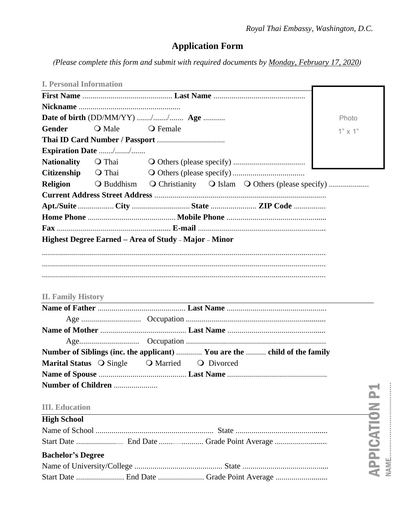# **Application Form**

(Please complete this form and submit with required documents by Monday, February 17, 2020)

| <b>I. Personal Information</b> |                           |                                                                           |                |
|--------------------------------|---------------------------|---------------------------------------------------------------------------|----------------|
|                                |                           |                                                                           |                |
|                                |                           |                                                                           |                |
|                                |                           | Date of birth (DD/MM/YY) // Age                                           | Photo          |
| Gender                         | $\bigcirc$ Male           | $\bigcirc$ Female                                                         | $1" \times 1"$ |
|                                |                           |                                                                           |                |
|                                | <b>Expiration Date</b> // |                                                                           |                |
| <b>Nationality</b>             |                           |                                                                           |                |
| <b>Citizenship</b>             |                           |                                                                           |                |
| Religion                       |                           | O Buddhism O Christianity O Islam O Others (please specify)               |                |
|                                |                           |                                                                           |                |
|                                |                           | Apt./Suite City State  ZIP Code                                           |                |
|                                |                           |                                                                           |                |
|                                |                           |                                                                           |                |
|                                |                           | Highest Degree Earned - Area of Study - Major - Minor                     |                |
|                                |                           |                                                                           |                |
|                                |                           |                                                                           |                |
|                                |                           |                                                                           |                |
|                                |                           |                                                                           |                |
| <b>II. Family History</b>      |                           |                                                                           |                |
|                                |                           |                                                                           |                |
|                                |                           |                                                                           |                |
|                                |                           |                                                                           |                |
|                                |                           |                                                                           |                |
|                                |                           | Number of Siblings (inc. the applicant)  You are the  child of the family |                |
| Marital Status O Single        |                           | O Married O Divorced                                                      |                |
|                                |                           |                                                                           |                |
|                                | Number of Children        |                                                                           |                |
|                                |                           |                                                                           |                |
| <b>III.</b> Education          |                           |                                                                           |                |
| <b>High School</b>             |                           |                                                                           |                |
|                                |                           |                                                                           |                |
|                                |                           | Start Date  End Date  Grade Point Average                                 |                |
| <b>Bachelor's Degree</b>       |                           |                                                                           | APPICATION     |
|                                |                           |                                                                           |                |
|                                |                           |                                                                           |                |
|                                |                           |                                                                           |                |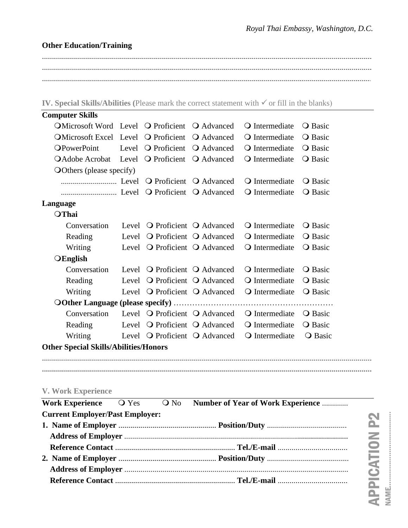## **Other Education/Training**

..................................................................................................................................................................... ..................................................................................................................................................................... .....................................................................................................................................................................

**IV. Special Skills/Abilities (**Please mark the correct statement with ✓ or fill in the blanks)

| <b>Computer Skills</b>                                                                                    |                               |                                                 |                         |                |
|-----------------------------------------------------------------------------------------------------------|-------------------------------|-------------------------------------------------|-------------------------|----------------|
| $\overline{\text{OMicrosoft Word}}$ Level $\overline{\text{O}}$ Proficient $\overline{\text{O}}$ Advanced |                               |                                                 | <b>Q</b> Intermediate   | <b>O</b> Basic |
| OMicrosoft Excel Level O Proficient                                                                       |                               | <b>Q</b> Advanced                               | $\bigcirc$ Intermediate | <b>Q</b> Basic |
| <b>OPowerPoint</b>                                                                                        | Level <b>Q</b> Proficient     | <b>Q</b> Advanced                               | O Intermediate          | <b>O</b> Basic |
| OAdobe Acrobat Level O Proficient O Advanced                                                              |                               |                                                 | <b>Q</b> Intermediate   | <b>O</b> Basic |
| <b>O</b> Others (please specify)                                                                          |                               |                                                 |                         |                |
|                                                                                                           |                               |                                                 | O Intermediate          | <b>O</b> Basic |
|                                                                                                           |                               |                                                 | O Intermediate          | <b>O</b> Basic |
| Language                                                                                                  |                               |                                                 |                         |                |
| OThai                                                                                                     |                               |                                                 |                         |                |
| Conversation                                                                                              |                               | Level O Proficient O Advanced                   | <b>Q</b> Intermediate   | <b>O</b> Basic |
| Reading                                                                                                   |                               | Level O Proficient O Advanced                   | <b>Q</b> Intermediate   | <b>Q</b> Basic |
| Writing                                                                                                   |                               | Level O Proficient O Advanced                   | O Intermediate          | <b>O</b> Basic |
| $O$ English                                                                                               |                               |                                                 |                         |                |
| Conversation                                                                                              | Level O Proficient O Advanced |                                                 | <b>Q</b> Intermediate   | <b>O</b> Basic |
| Reading                                                                                                   |                               | Level O Proficient O Advanced                   | <b>Q</b> Intermediate   | <b>O</b> Basic |
| Writing                                                                                                   |                               | Level O Proficient O Advanced                   | $\bigcirc$ Intermediate | <b>Q</b> Basic |
|                                                                                                           |                               |                                                 |                         |                |
| Conversation                                                                                              |                               | Level $\bigcirc$ Proficient $\bigcirc$ Advanced | $\bigcirc$ Intermediate | <b>O</b> Basic |
| Reading                                                                                                   |                               | Level O Proficient O Advanced                   | O Intermediate          | <b>O</b> Basic |
| Writing                                                                                                   |                               | Level O Proficient O Advanced                   | O Intermediate          | <b>O</b> Basic |
| <b>Other Special Skills/Abilities/Honors</b>                                                              |                               |                                                 |                         |                |

### **V. Work Experience**

|                                        |  | Work Experience $\bigcirc$ Yes $\bigcirc$ No Number of Year of Work Experience |
|----------------------------------------|--|--------------------------------------------------------------------------------|
| <b>Current Employer/Past Employer:</b> |  |                                                                                |
|                                        |  |                                                                                |
|                                        |  |                                                                                |
|                                        |  |                                                                                |
|                                        |  |                                                                                |
|                                        |  |                                                                                |
|                                        |  |                                                                                |
|                                        |  |                                                                                |